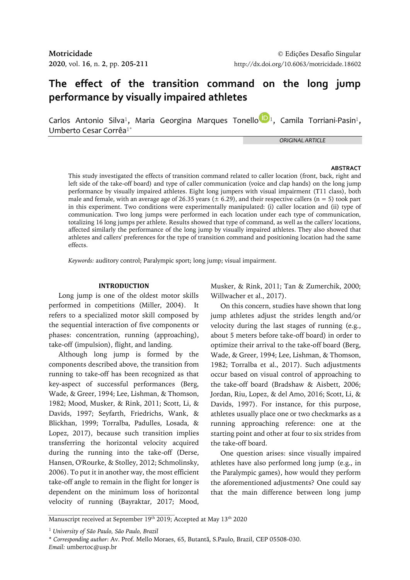# **The effect of the transition command on the long jump performance by visually impaired athletes**

Carlos Antonio Silva<sup>1</sup>, Maria Georgina Marques Tonello<sup>1</sup>D<sub>1</sub>, Camila Torriani-Pasin<sup>1</sup>, Umberto Cesar Corrêa1\*

*ORIGINAL ARTICLE*

# **ABSTRACT**

This study investigated the effects of transition command related to caller location (front, back, right and left side of the take-off board) and type of caller communication (voice and clap hands) on the long jump performance by visually impaired athletes. Eight long jumpers with visual impairment (T11 class), both male and female, with an average age of 26.35 years ( $\pm$  6.29), and their respective callers ( $n = 5$ ) took part in this experiment. Two conditions were experimentally manipulated: (i) caller location and (ii) type of communication. Two long jumps were performed in each location under each type of communication, totalizing 16 long jumps per athlete. Results showed that type of command, as well as the callers' locations, affected similarly the performance of the long jump by visually impaired athletes. They also showed that athletes and callers' preferences for the type of transition command and positioning location had the same effects.

*Keywords:* auditory control; Paralympic sport; long jump; visual impairment.

### **INTRODUCTION**

Long jump is one of the oldest motor skills performed in competitions (Miller, 2004). It refers to a specialized motor skill composed by the sequential interaction of five components or phases: concentration, running (approaching), take-off (impulsion), flight, and landing.

Although long jump is formed by the components described above, the transition from running to take-off has been recognized as that key-aspect of successful performances (Berg, Wade, & Greer, 1994; Lee, Lishman, & Thomson, 1982; Mood, Musker, & Rink, 2011; Scott, Li, & Davids, 1997; Seyfarth, Friedrichs, Wank, & Blickhan, 1999; Torralba, Padulles, Losada, & Lopez, 2017), because such transition implies transferring the horizontal velocity acquired during the running into the take-off (Derse, Hansen, O'Rourke, & Stolley, 2012; Schmolinsky, 2006). To put it in another way, the most efficient take-off angle to remain in the flight for longer is dependent on the minimum loss of horizontal velocity of running (Bayraktar, 2017; Mood,

Musker, & Rink, 2011; Tan & Zumerchik, 2000; Willwacher et al., 2017).

On this concern, studies have shown that long jump athletes adjust the strides length and/or velocity during the last stages of running (e.g., about 5 meters before take-off board) in order to optimize their arrival to the take-off board (Berg, Wade, & Greer, 1994; Lee, Lishman, & Thomson, 1982; Torralba et al., 2017). Such adjustments occur based on visual control of approaching to the take-off board (Bradshaw & Aisbett, 2006; Jordan, Riu, Lopez, & del Amo, 2016; Scott, Li, & Davids, 1997). For instance, for this purpose, athletes usually place one or two checkmarks as a running approaching reference: one at the starting point and other at four to six strides from the take-off board.

One question arises: since visually impaired athletes have also performed long jump (e.g., in the Paralympic games), how would they perform the aforementioned adjustments? One could say that the main difference between long jump

Manuscript received at September 19<sup>th</sup> 2019; Accepted at May 13<sup>th</sup> 2020

<sup>1</sup> *University of São Paulo, São Paulo, Brazil*

<sup>\*</sup> *Corresponding author*: Av. Prof. Mello Moraes, 65, Butantã, S.Paulo, Brazil, CEP 05508-030. *Email:* umbertoc@usp.br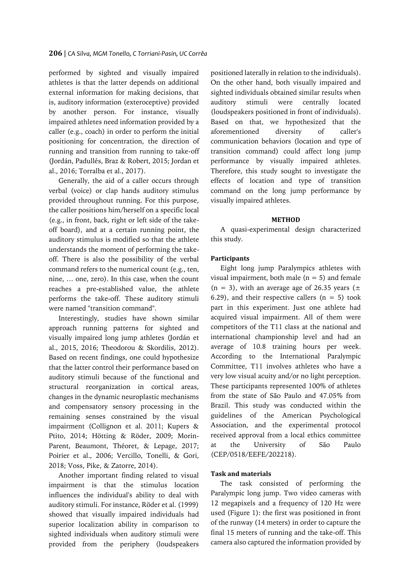performed by sighted and visually impaired athletes is that the latter depends on additional external information for making decisions, that is, auditory information (exteroceptive) provided by another person. For instance, visually impaired athletes need information provided by a caller (e.g., coach) in order to perform the initial positioning for concentration, the direction of running and transition from running to take-off (Jordán, Padullés, Braz & Robert, 2015; Jordan et al., 2016; Torralba et al., 2017).

Generally, the aid of a caller occurs through verbal (voice) or clap hands auditory stimulus provided throughout running. For this purpose, the caller positions him/herself on a specific local (e.g., in front, back, right or left side of the takeoff board), and at a certain running point, the auditory stimulus is modified so that the athlete understands the moment of performing the takeoff. There is also the possibility of the verbal command refers to the numerical count (e.g., ten, nine, … one, zero). In this case, when the count reaches a pre-established value, the athlete performs the take-off. These auditory stimuli were named "transition command".

Interestingly, studies have shown similar approach running patterns for sighted and visually impaired long jump athletes (Jordán et al., 2015, 2016; Theodorou & Skordilis, 2012). Based on recent findings, one could hypothesize that the latter control their performance based on auditory stimuli because of the functional and structural reorganization in cortical areas, changes in the dynamic neuroplastic mechanisms and compensatory sensory processing in the remaining senses constrained by the visual impairment (Collignon et al. 2011; Kupers & Ptito, 2014; Hötting & Röder, 2009; Morin-Parent, Beaumont, Théoret, & Lepage, 2017; Poirier et al., 2006; Vercillo, Tonelli, & Gori, 2018; Voss, Pike, & Zatorre, 2014).

Another important finding related to visual impairment is that the stimulus location influences the individual's ability to deal with auditory stimuli. For instance, Röder et al. (1999) showed that visually impaired individuals had superior localization ability in comparison to sighted individuals when auditory stimuli were provided from the periphery (loudspeakers

positioned laterally in relation to the individuals). On the other hand, both visually impaired and sighted individuals obtained similar results when auditory stimuli were centrally located (loudspeakers positioned in front of individuals). Based on that, we hypothesized that the aforementioned diversity of caller's communication behaviors (location and type of transition command) could affect long jump performance by visually impaired athletes. Therefore, this study sought to investigate the effects of location and type of transition command on the long jump performance by visually impaired athletes.

### **METHOD**

A quasi-experimental design characterized this study.

# **Participants**

Eight long jump Paralympics athletes with visual impairment, both male ( $n = 5$ ) and female  $(n = 3)$ , with an average age of 26.35 years ( $\pm$ 6.29), and their respective callers  $(n = 5)$  took part in this experiment. Just one athlete had acquired visual impairment. All of them were competitors of the T11 class at the national and international championship level and had an average of 10.8 training hours per week. According to the International Paralympic Committee, T11 involves athletes who have a very low visual acuity and/or no light perception. These participants represented 100% of athletes from the state of São Paulo and 47.05% from Brazil. This study was conducted within the guidelines of the American Psychological Association, and the experimental protocol received approval from a local ethics committee at the University of São Paulo (CEP/0518/EEFE/202218).

# **Task and materials**

The task consisted of performing the Paralympic long jump. Two video cameras with 12 megapixels and a frequency of 120 Hz were used (Figure 1): the first was positioned in front of the runway (14 meters) in order to capture the final 15 meters of running and the take-off. This camera also captured the information provided by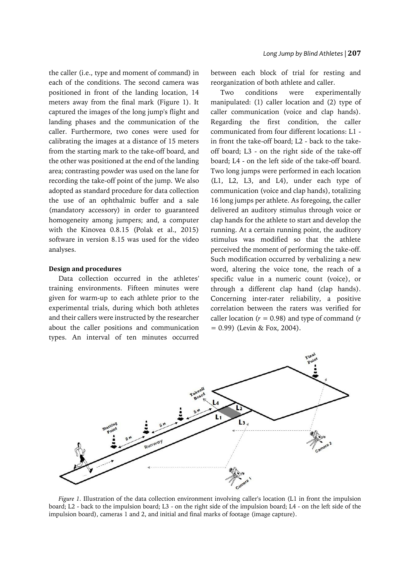the caller (i.e., type and moment of command) in each of the conditions. The second camera was positioned in front of the landing location, 14 meters away from the final mark (Figure 1). It captured the images of the long jump's flight and landing phases and the communication of the caller. Furthermore, two cones were used for calibrating the images at a distance of 15 meters from the starting mark to the take-off board, and the other was positioned at the end of the landing area; contrasting powder was used on the lane for recording the take-off point of the jump. We also adopted as standard procedure for data collection the use of an ophthalmic buffer and a sale (mandatory accessory) in order to guaranteed homogeneity among jumpers; and, a computer with the Kinovea 0.8.15 (Polak et al., 2015) software in version 8.15 was used for the video analyses.

#### **Design and procedures**

Data collection occurred in the athletes' training environments. Fifteen minutes were given for warm-up to each athlete prior to the experimental trials, during which both athletes and their callers were instructed by the researcher about the caller positions and communication types. An interval of ten minutes occurred

between each block of trial for resting and reorganization of both athlete and caller.

Two conditions were experimentally manipulated: (1) caller location and (2) type of caller communication (voice and clap hands). Regarding the first condition, the caller communicated from four different locations: L1 in front the take-off board; L2 - back to the takeoff board; L3 - on the right side of the take-off board; L4 - on the left side of the take-off board. Two long jumps were performed in each location (L1, L2, L3, and L4), under each type of communication (voice and clap hands), totalizing 16 long jumps per athlete. As foregoing, the caller delivered an auditory stimulus through voice or clap hands for the athlete to start and develop the running. At a certain running point, the auditory stimulus was modified so that the athlete perceived the moment of performing the take-off. Such modification occurred by verbalizing a new word, altering the voice tone, the reach of a specific value in a numeric count (voice), or through a different clap hand (clap hands). Concerning inter-rater reliability, a positive correlation between the raters was verified for caller location (*r* = 0.98) and type of command (*r*  $= 0.99$ ) (Levin & Fox, 2004).



*Figure 1.* Illustration of the data collection environment involving caller's location (L1 in front the impulsion board; L2 - back to the impulsion board; L3 - on the right side of the impulsion board; L4 - on the left side of the impulsion board), cameras 1 and 2, and initial and final marks of footage (image capture).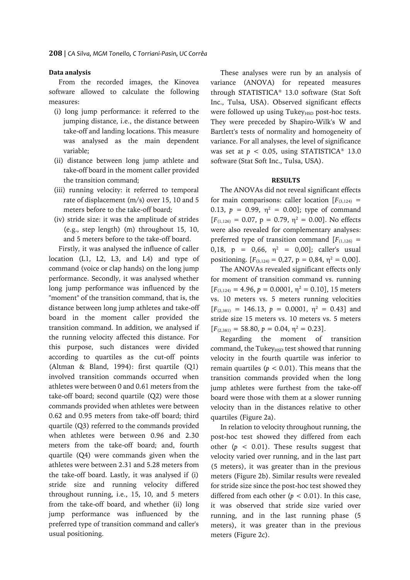### **Data analysis**

From the recorded images, the Kinovea software allowed to calculate the following measures:

- (i) long jump performance: it referred to the jumping distance, i.e., the distance between take-off and landing locations. This measure was analysed as the main dependent variable;
- (ii) distance between long jump athlete and take-off board in the moment caller provided the transition command;
- (iii) running velocity: it referred to temporal rate of displacement (m/s) over 15, 10 and 5 meters before to the take-off board;
- (iv) stride size: it was the amplitude of strides (e.g., step length) (m) throughout 15, 10, and 5 meters before to the take-off board.

Firstly, it was analysed the influence of caller location (L1, L2, L3, and L4) and type of command (voice or clap hands) on the long jump performance. Secondly, it was analysed whether long jump performance was influenced by the "moment" of the transition command, that is, the distance between long jump athletes and take-off board in the moment caller provided the transition command. In addition, we analysed if the running velocity affected this distance. For this purpose, such distances were divided according to quartiles as the cut-off points (Altman & Bland, 1994): first quartile (Q1) involved transition commands occurred when athletes were between 0 and 0.61 meters from the take-off board; second quartile (Q2) were those commands provided when athletes were between 0.62 and 0.95 meters from take-off board; third quartile (Q3) referred to the commands provided when athletes were between 0.96 and 2.30 meters from the take-off board; and, fourth quartile (Q4) were commands given when the athletes were between 2.31 and 5.28 meters from the take-off board. Lastly, it was analysed if (i) stride size and running velocity differed throughout running, i.e., 15, 10, and 5 meters from the take-off board, and whether (ii) long jump performance was influenced by the preferred type of transition command and caller's usual positioning.

These analyses were run by an analysis of variance (ANOVA) for repeated measures through STATISTICA® 13.0 software (Stat Soft Inc., Tulsa, USA). Observed significant effects were followed up using Tukey<sub>HSD</sub> post-hoc tests. They were preceded by Shapiro-Wilk's W and Bartlett's tests of normality and homogeneity of variance. For all analyses, the level of significance was set at  $p < 0.05$ , using STATISTICA<sup>®</sup> 13.0 software (Stat Soft Inc., Tulsa, USA).

### **RESULTS**

The ANOVAs did not reveal significant effects for main comparisons: caller location  $[F_{(3,124)}]$  = 0.13,  $p = 0.99$ ,  $\eta^2 = 0.00$ ]; type of command  $[F_{(1,126)} = 0.07, p = 0.79, \eta^2 = 0.00]$ . No effects were also revealed for complementary analyses: preferred type of transition command  $[F_{(1,126)}]$  = 0,18,  $p = 0.66$ ,  $\eta^2 = 0.00$ ]; caller's usual positioning.  $[F_{(3,124)} = 0,27, p = 0,84, \eta^2 = 0,00].$ 

The ANOVAs revealed significant effects only for moment of transition command vs. running  $[F_{(3,124)} = 4.96, p = 0.0001, \eta^2 = 0.10]$ , 15 meters vs. 10 meters vs. 5 meters running velocities  $[F_{(2,381)} = 146.13, p = 0.0001, \eta^2 = 0.43]$  and stride size 15 meters vs. 10 meters vs. 5 meters  $[F_{(2,381)} = 58.80, p = 0.04, \eta^2 = 0.23].$ 

Regarding the moment of transition command, the Tukey<sub>HSD</sub> test showed that running velocity in the fourth quartile was inferior to remain quartiles ( $p < 0.01$ ). This means that the transition commands provided when the long jump athletes were furthest from the take-off board were those with them at a slower running velocity than in the distances relative to other quartiles (Figure 2a).

In relation to velocity throughout running, the post-hoc test showed they differed from each other  $(p < 0.01)$ . These results suggest that velocity varied over running, and in the last part (5 meters), it was greater than in the previous meters (Figure 2b). Similar results were revealed for stride size since the post-hoc test showed they differed from each other  $(p < 0.01)$ . In this case, it was observed that stride size varied over running, and in the last running phase (5 meters), it was greater than in the previous meters (Figure 2c).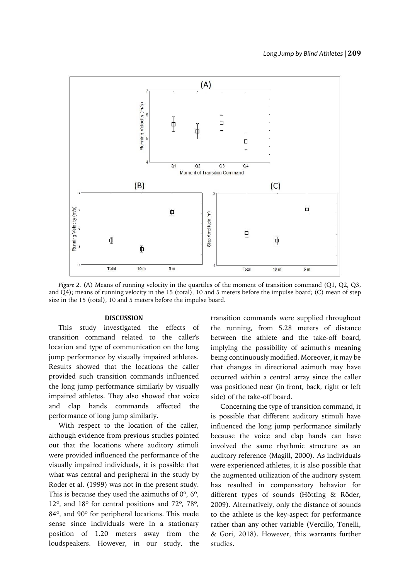

*Figure 2.* (A) Means of running velocity in the quartiles of the moment of transition command (Q1, Q2, Q3, and Q4); means of running velocity in the 15 (total), 10 and 5 meters before the impulse board; (C) mean of step size in the 15 (total), 10 and 5 meters before the impulse board.

#### **DISCUSSION**

This study investigated the effects of transition command related to the caller's location and type of communication on the long jump performance by visually impaired athletes. Results showed that the locations the caller provided such transition commands influenced the long jump performance similarly by visually impaired athletes. They also showed that voice and clap hands commands affected the performance of long jump similarly.

With respect to the location of the caller, although evidence from previous studies pointed out that the locations where auditory stimuli were provided influenced the performance of the visually impaired individuals, it is possible that what was central and peripheral in the study by Roder et al. (1999) was not in the present study. This is because they used the azimuths of  $0^\circ$ ,  $6^\circ$ , 12º, and 18º for central positions and 72º, 78º, 84º, and 90º for peripheral locations. This made sense since individuals were in a stationary position of 1.20 meters away from the loudspeakers. However, in our study, the transition commands were supplied throughout the running, from 5.28 meters of distance between the athlete and the take-off board, implying the possibility of azimuth's meaning being continuously modified. Moreover, it may be that changes in directional azimuth may have occurred within a central array since the caller was positioned near (in front, back, right or left side) of the take-off board.

Concerning the type of transition command, it is possible that different auditory stimuli have influenced the long jump performance similarly because the voice and clap hands can have involved the same rhythmic structure as an auditory reference (Magill, 2000). As individuals were experienced athletes, it is also possible that the augmented utilization of the auditory system has resulted in compensatory behavior for different types of sounds (Hötting & Röder, 2009). Alternatively, only the distance of sounds to the athlete is the key-aspect for performance rather than any other variable (Vercillo, Tonelli, & Gori, 2018). However, this warrants further studies.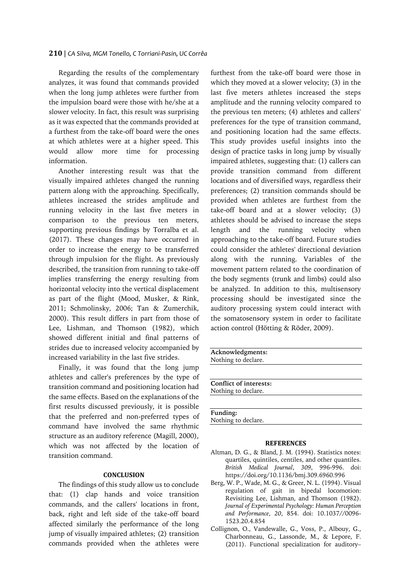### **210** | *CA Silva, MGM Tonello, C Torriani-Pasin, UC Corrêa*

Regarding the results of the complementary analyzes, it was found that commands provided when the long jump athletes were further from the impulsion board were those with he/she at a slower velocity. In fact, this result was surprising as it was expected that the commands provided at a furthest from the take-off board were the ones at which athletes were at a higher speed. This would allow more time for processing information.

Another interesting result was that the visually impaired athletes changed the running pattern along with the approaching. Specifically, athletes increased the strides amplitude and running velocity in the last five meters in comparison to the previous ten meters, supporting previous findings by Torralba et al. (2017). These changes may have occurred in order to increase the energy to be transferred through impulsion for the flight. As previously described, the transition from running to take-off implies transferring the energy resulting from horizontal velocity into the vertical displacement as part of the flight (Mood, Musker, & Rink, 2011; Schmolinsky, 2006; Tan & Zumerchik, 2000). This result differs in part from those of Lee, Lishman, and Thomson (1982), which showed different initial and final patterns of strides due to increased velocity accompanied by increased variability in the last five strides.

Finally, it was found that the long jump athletes and caller's preferences by the type of transition command and positioning location had the same effects. Based on the explanations of the first results discussed previously, it is possible that the preferred and non-preferred types of command have involved the same rhythmic structure as an auditory reference (Magill, 2000), which was not affected by the location of transition command.

# **CONCLUSION**

The findings of this study allow us to conclude that: (1) clap hands and voice transition commands, and the callers' locations in front, back, right and left side of the take-off board affected similarly the performance of the long jump of visually impaired athletes; (2) transition commands provided when the athletes were

furthest from the take-off board were those in which they moved at a slower velocity; (3) in the last five meters athletes increased the steps amplitude and the running velocity compared to the previous ten meters; (4) athletes and callers' preferences for the type of transition command, and positioning location had the same effects. This study provides useful insights into the design of practice tasks in long jump by visually impaired athletes, suggesting that: (1) callers can provide transition command from different locations and of diversified ways, regardless their preferences; (2) transition commands should be provided when athletes are furthest from the take-off board and at a slower velocity; (3) athletes should be advised to increase the steps length and the running velocity when approaching to the take-off board. Future studies could consider the athletes' directional deviation along with the running. Variables of the movement pattern related to the coordination of the body segments (trunk and limbs) could also be analyzed. In addition to this, multisensory processing should be investigated since the auditory processing system could interact with the somatosensory system in order to facilitate action control (Hötting & Röder, 2009).

| Acknowledgments:       |  |
|------------------------|--|
| Nothing to declare.    |  |
|                        |  |
|                        |  |
| Conflict of interests: |  |
| Nothing to declare.    |  |
|                        |  |
|                        |  |
| Funding:               |  |
| Nothing to declare.    |  |

#### **REFERENCES**

- Altman, D. G., & Bland, J. M. (1994). Statistics notes: quartiles, quintiles, centiles, and other quantiles. *British Medical Journal*, *309*, 996-996. doi: https://doi.org/10.1136/bmj.309.6960.996
- Berg, W. P., Wade, M. G., & Greer, N. L. (1994). Visual regulation of gait in bipedal locomotion: Revisiting Lee, Lishman, and Thomson (1982). *Journal of Experimental Psychology: Human Perception and Performance*, *20*, 854. doi: 10.1037//0096- 1523.20.4.854
- Collignon, O., Vandewalle, G., Voss, P., Albouy, G., Charbonneau, G., Lassonde, M., & Lepore, F. (2011). Functional specialization for auditory–